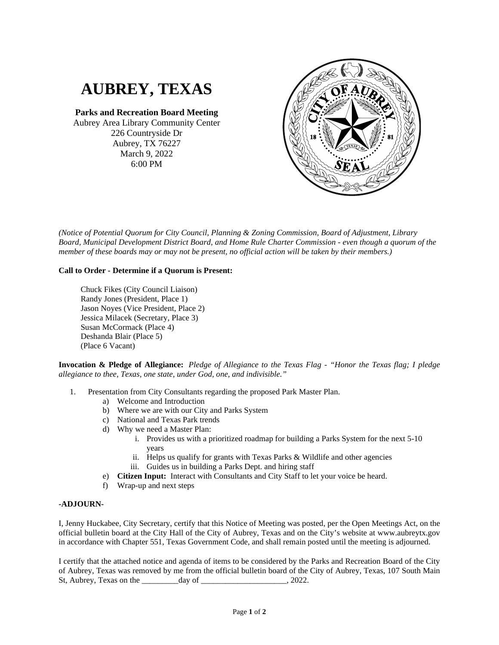## **AUBREY, TEXAS**

**Parks and Recreation Board Meeting** Aubrey Area Library Community Center 226 Countryside Dr Aubrey, TX 76227 March 9, 2022 6:00 PM



*(Notice of Potential Quorum for City Council, Planning & Zoning Commission, Board of Adjustment, Library Board, Municipal Development District Board, and Home Rule Charter Commission - even though a quorum of the member of these boards may or may not be present, no official action will be taken by their members.)*

## **Call to Order - Determine if a Quorum is Present:**

Chuck Fikes (City Council Liaison) Randy Jones (President, Place 1) Jason Noyes (Vice President, Place 2) Jessica Milacek (Secretary, Place 3) Susan McCormack (Place 4) Deshanda Blair (Place 5) (Place 6 Vacant)

**Invocation & Pledge of Allegiance:** *Pledge of Allegiance to the Texas Flag - "Honor the Texas flag; I pledge allegiance to thee, Texas, one state, under God, one, and indivisible."*

- 1. Presentation from City Consultants regarding the proposed Park Master Plan.
	- a) Welcome and Introduction
	- b) Where we are with our City and Parks System
	- c) National and Texas Park trends
	- d) Why we need a Master Plan:
		- i. Provides us with a prioritized roadmap for building a Parks System for the next 5-10 years
		- ii. Helps us qualify for grants with Texas Parks & Wildlife and other agencies
		- iii. Guides us in building a Parks Dept. and hiring staff
	- e) **Citizen Input:** Interact with Consultants and City Staff to let your voice be heard.
	- f) Wrap-up and next steps

## **-ADJOURN-**

I, Jenny Huckabee, City Secretary, certify that this Notice of Meeting was posted, per the Open Meetings Act, on the official bulletin board at the City Hall of the City of Aubrey, Texas and on the City's website at www.aubreytx.gov in accordance with Chapter 551, Texas Government Code, and shall remain posted until the meeting is adjourned.

I certify that the attached notice and agenda of items to be considered by the Parks and Recreation Board of the City of Aubrey, Texas was removed by me from the official bulletin board of the City of Aubrey, Texas, 107 South Main St, Aubrey, Texas on the \_\_\_\_\_\_\_\_\_day of \_\_\_\_\_\_\_\_\_\_\_\_\_\_\_\_\_\_\_\_\_, 2022.